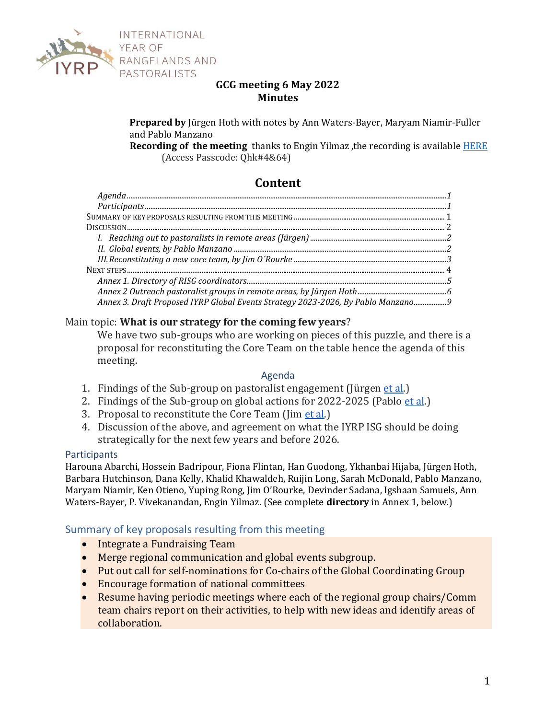

## **GCG meeting 6 May 2022 Minutes**

**Prepared by** Jürgen Hoth with notes by Ann Waters-Bayer, Maryam Niamir-Fuller and Pablo Manzano

**Recording of the meeting** thanks to Engin Yilmaz ,the recording is available [HERE](https://us02web.zoom.us/rec/share/Sh2Jy43lQ1JZhbWQFiSmC_jbsduQoiq4zveDAFlWpCYroqG_jP9Ax4Z-RtQ_Z9MX.dZJF1xqmd2mOIOvY) (Access Passcode: Qhk#4&64)

# **Content**

| Annex 3. Draft Proposed IYRP Global Events Strategy 2023-2026, By Pablo Manzano9 |  |
|----------------------------------------------------------------------------------|--|

### Main topic: **What is our strategy for the coming few years**?

We have two sub-groups who are working on pieces of this puzzle, and there is a proposal for reconstituting the Core Team on the table hence the agenda of this meeting.

#### Agenda

- <span id="page-0-0"></span>1. Findings of the Sub-group on pastoralist engagement (Jürgen et [al.](http://et.al/))
- 2. Findings of the Sub-group on global actions for 2022-2025 (Pablo et [al.](http://et.al/))
- 3. Proposal to reconstitute the Core Team (Jim et [al.\)](http://et.al/)
- 4. Discussion of the above, and agreement on what the IYRP ISG should be doing strategically for the next few years and before 2026.

#### <span id="page-0-1"></span>**Participants**

Harouna Abarchi, Hossein Badripour, Fiona Flintan, Han Guodong, Ykhanbai Hijaba, Jürgen Hoth, Barbara Hutchinson, Dana Kelly, Khalid Khawaldeh, Ruijin Long, Sarah McDonald, Pablo Manzano, Maryam Niamir, Ken Otieno, Yuping Rong, Jim O'Rourke, Devinder Sadana, Igshaan Samuels, Ann Waters-Bayer, P. Vivekanandan, Engin Yilmaz. (See complete **directory** in Annex 1, below.)

#### <span id="page-0-2"></span>Summary of key proposals resulting from this meeting

- Integrate a Fundraising Team
- Merge regional communication and global events subgroup.
- Put out call for self-nominations for Co-chairs of the Global Coordinating Group
- Encourage formation of national committees
- Resume having periodic meetings where each of the regional group chairs/Comm team chairs report on their activities, to help with new ideas and identify areas of collaboration.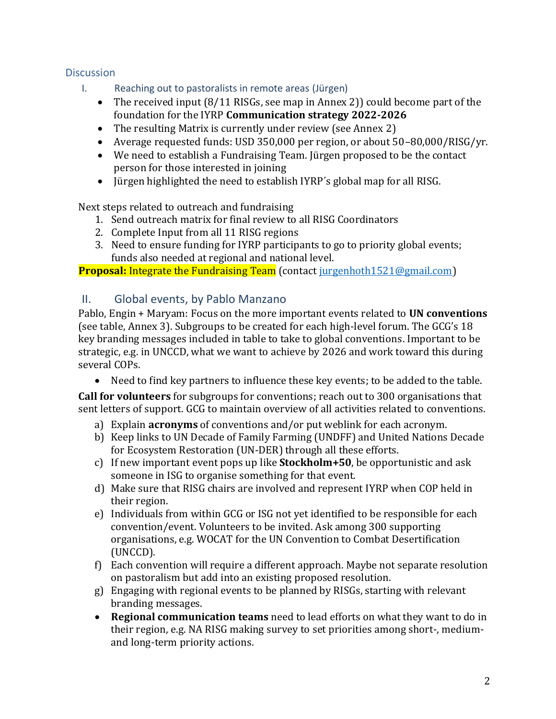## <span id="page-1-1"></span><span id="page-1-0"></span>**Discussion**

- I. Reaching out to pastoralists in remote areas (Jürgen)
	- The received input (8/11 RISGs, see map in Annex 2)) could become part of the foundation for the IYRP **Communication strategy 2022-2026**
	- The resulting Matrix is currently under review (see Annex 2)
	- Average requested funds: USD 350,000 per region, or about 50–80,000/RISG/yr.
	- We need to establish a Fundraising Team. Jürgen proposed to be the contact person for those interested in joining
	- Jürgen highlighted the need to establish IYRP´s global map for all RISG.

Next steps related to outreach and fundraising

- 1. Send outreach matrix for final review to all RISG Coordinators
- 2. Complete Input from all 11 RISG regions
- 3. Need to ensure funding for IYRP participants to go to priority global events; funds also needed at regional and national level.

**Proposal:** Integrate the Fundraising Team (contact [jurgenhoth1521@gmail.com\)](mailto:jurgenhoth1521@gmail.com)

# <span id="page-1-2"></span>II. Global events, by Pablo Manzano

Pablo, Engin + Maryam: Focus on the more important events related to **UN conventions** (see table, Annex 3). Subgroups to be created for each high-level forum. The GCG's 18 key branding messages included in table to take to global conventions. Important to be strategic, e.g. in UNCCD, what we want to achieve by 2026 and work toward this during several COPs.

• Need to find key partners to influence these key events; to be added to the table.

**Call for volunteers** for subgroups for conventions; reach out to 300 organisations that sent letters of support. GCG to maintain overview of all activities related to conventions.

- a) Explain **acronyms** of conventions and/or put weblink for each acronym.
- b) Keep links to UN Decade of Family Farming (UNDFF) and United Nations Decade for Ecosystem Restoration (UN-DER) through all these efforts.
- c) If new important event pops up like **Stockholm+50**, be opportunistic and ask someone in ISG to organise something for that event.
- d) Make sure that RISG chairs are involved and represent IYRP when COP held in their region.
- e) Individuals from within GCG or ISG not yet identified to be responsible for each convention/event. Volunteers to be invited. Ask among 300 supporting organisations, e.g. WOCAT for the UN Convention to Combat Desertification (UNCCD).
- f) Each convention will require a different approach. Maybe not separate resolution on pastoralism but add into an existing proposed resolution.
- g) Engaging with regional events to be planned by RISGs, starting with relevant branding messages.
- **Regional communication teams** need to lead efforts on what they want to do in their region, e.g. NA RISG making survey to set priorities among short-, mediumand long-term priority actions.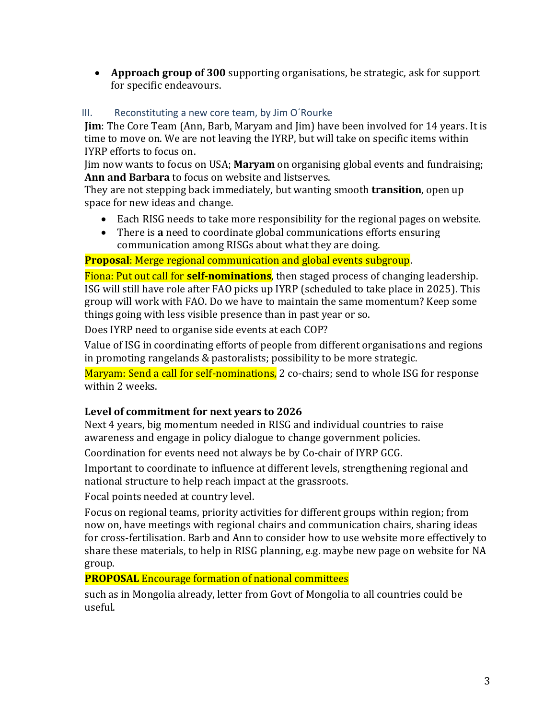• **Approach group of 300** supporting organisations, be strategic, ask for support for specific endeavours.

## <span id="page-2-0"></span>III. Reconstituting a new core team, by Jim O´Rourke

**Jim**: The Core Team (Ann, Barb, Maryam and Jim) have been involved for 14 years. It is time to move on. We are not leaving the IYRP, but will take on specific items within IYRP efforts to focus on.

Jim now wants to focus on USA; **Maryam** on organising global events and fundraising; **Ann and Barbara** to focus on website and listserves.

They are not stepping back immediately, but wanting smooth **transition**, open up space for new ideas and change.

- Each RISG needs to take more responsibility for the regional pages on website.
- There is **a** need to coordinate global communications efforts ensuring communication among RISGs about what they are doing.

# **Proposal**: Merge regional communication and global events subgroup.

Fiona: Put out call for **self-nominations**, then staged process of changing leadership. ISG will still have role after FAO picks up IYRP (scheduled to take place in 2025). This group will work with FAO. Do we have to maintain the same momentum? Keep some things going with less visible presence than in past year or so.

Does IYRP need to organise side events at each COP?

Value of ISG in coordinating efforts of people from different organisations and regions in promoting rangelands & pastoralists; possibility to be more strategic.

Maryam: Send a call for self-nominations, 2 co-chairs; send to whole ISG for response within 2 weeks.

## **Level of commitment for next years to 2026**

Next 4 years, big momentum needed in RISG and individual countries to raise awareness and engage in policy dialogue to change government policies.

Coordination for events need not always be by Co-chair of IYRP GCG.

Important to coordinate to influence at different levels, strengthening regional and national structure to help reach impact at the grassroots.

Focal points needed at country level.

Focus on regional teams, priority activities for different groups within region; from now on, have meetings with regional chairs and communication chairs, sharing ideas for cross-fertilisation. Barb and Ann to consider how to use website more effectively to share these materials, to help in RISG planning, e.g. maybe new page on website for NA group.

## **PROPOSAL** Encourage formation of national committees

such as in Mongolia already, letter from Govt of Mongolia to all countries could be useful.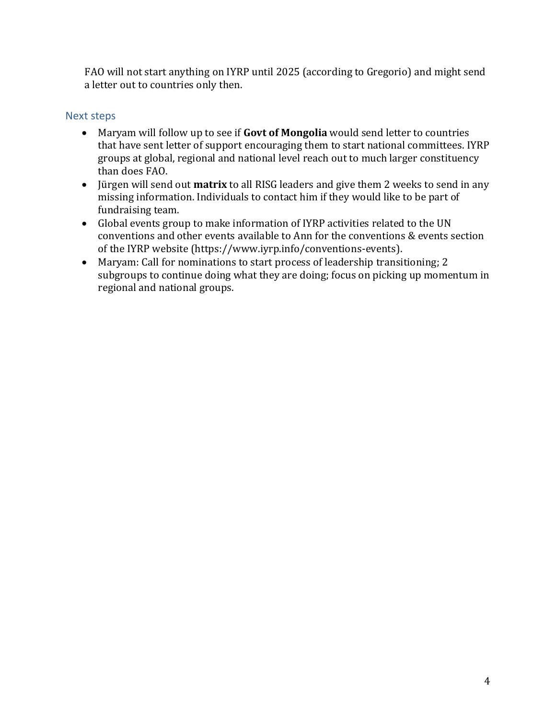FAO will not start anything on IYRP until 2025 (according to Gregorio) and might send a letter out to countries only then.

# <span id="page-3-0"></span>Next steps

- Maryam will follow up to see if **Govt of Mongolia** would send letter to countries that have sent letter of support encouraging them to start national committees. IYRP groups at global, regional and national level reach out to much larger constituency than does FAO.
- Jürgen will send out **matrix** to all RISG leaders and give them 2 weeks to send in any missing information. Individuals to contact him if they would like to be part of fundraising team.
- Global events group to make information of IYRP activities related to the UN conventions and other events available to Ann for the conventions & events section of the IYRP website (https://www.iyrp.info/conventions-events).
- Maryam: Call for nominations to start process of leadership transitioning; 2 subgroups to continue doing what they are doing; focus on picking up momentum in regional and national groups.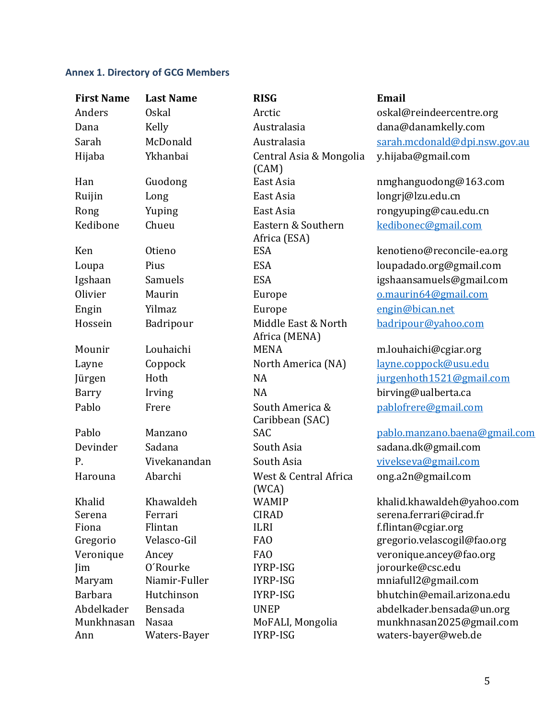# <span id="page-4-0"></span>**Annex 1. Directory of GCG Members**

| <b>First Name</b>               | <b>Last Name</b>                 | <b>RISG</b>                                 | Email                                                                        |
|---------------------------------|----------------------------------|---------------------------------------------|------------------------------------------------------------------------------|
| Anders                          | <b>Oskal</b>                     | Arctic                                      | oskal@reindeercentre.org                                                     |
| Dana                            | Kelly                            | Australasia                                 | dana@danamkelly.com                                                          |
| Sarah                           | McDonald                         | Australasia                                 | sarah.mcdonald@dpi.nsw.gov.au                                                |
| Hijaba                          | Ykhanbai                         | Central Asia & Mongolia<br>(CAM)            | y.hijaba@gmail.com                                                           |
| Han                             | Guodong                          | East Asia                                   | nmghanguodong@163.com                                                        |
| Ruijin                          | Long                             | East Asia                                   | longrj@lzu.edu.cn                                                            |
| Rong                            | Yuping                           | East Asia                                   | rongyuping@cau.edu.cn                                                        |
| Kedibone                        | Chueu                            | Eastern & Southern<br>Africa (ESA)          | kedibonec@gmail.com                                                          |
| Ken                             | <b>Otieno</b>                    | <b>ESA</b>                                  | kenotieno@reconcile-ea.org                                                   |
| Loupa                           | Pius                             | <b>ESA</b>                                  | loupadado.org@gmail.com                                                      |
| Igshaan                         | Samuels                          | <b>ESA</b>                                  | igshaansamuels@gmail.com                                                     |
| Olivier                         | Maurin                           | Europe                                      | o.maurin64@gmail.com                                                         |
| Engin                           | Yilmaz                           | Europe                                      | engin@bican.net                                                              |
| Hossein                         | Badripour                        | Middle East & North<br>Africa (MENA)        | badripour@yahoo.com                                                          |
| Mounir                          | Louhaichi                        | <b>MENA</b>                                 | m.louhaichi@cgiar.org                                                        |
| Layne                           | Coppock                          | North America (NA)                          | <u>layne.coppock@usu.edu</u>                                                 |
| Jürgen                          | Hoth                             | <b>NA</b>                                   | jurgenhoth1521@gmail.com                                                     |
| Barry                           | Irving                           | <b>NA</b>                                   | birving@ualberta.ca                                                          |
| Pablo                           | Frere                            | South America &<br>Caribbean (SAC)          | pablofrere@gmail.com                                                         |
| Pablo                           | Manzano                          | SAC                                         | pablo.manzano.baena@gmail.com                                                |
| Devinder                        | Sadana                           | South Asia                                  | sadana.dk@gmail.com                                                          |
| P.                              | Vivekanandan                     | South Asia                                  | vivekseva@gmail.com                                                          |
| Harouna                         | Abarchi                          | West & Central Africa<br>(WCA)              | ong.a2n@gmail.com                                                            |
| Khalid                          | Khawaldeh                        | <b>WAMIP</b>                                | khalid.khawaldeh@yahoo.com                                                   |
| Serena                          | Ferrari                          | <b>CIRAD</b>                                | serena.ferrari@cirad.fr                                                      |
| Fiona                           | Flintan                          | <b>ILRI</b>                                 | f.flintan@cgiar.org                                                          |
| Gregorio                        | Velasco-Gil                      | FA <sub>O</sub>                             | gregorio.velascogil@fao.org                                                  |
| Veronique                       | Ancey                            | <b>FAO</b>                                  | veronique.ancey@fao.org                                                      |
| Jim                             | O'Rourke                         | IYRP-ISG                                    | jorourke@csc.edu                                                             |
| Maryam                          | Niamir-Fuller                    | IYRP-ISG                                    | mniafull2@gmail.com                                                          |
| <b>Barbara</b>                  | Hutchinson                       | IYRP-ISG                                    | bhutchin@email.arizona.edu                                                   |
| Abdelkader<br>Munkhnasan<br>Ann | Bensada<br>Nasaa<br>Waters-Bayer | <b>UNEP</b><br>MoFALI, Mongolia<br>IYRP-ISG | abdelkader.bensada@un.org<br>munkhnasan2025@gmail.com<br>waters-bayer@web.de |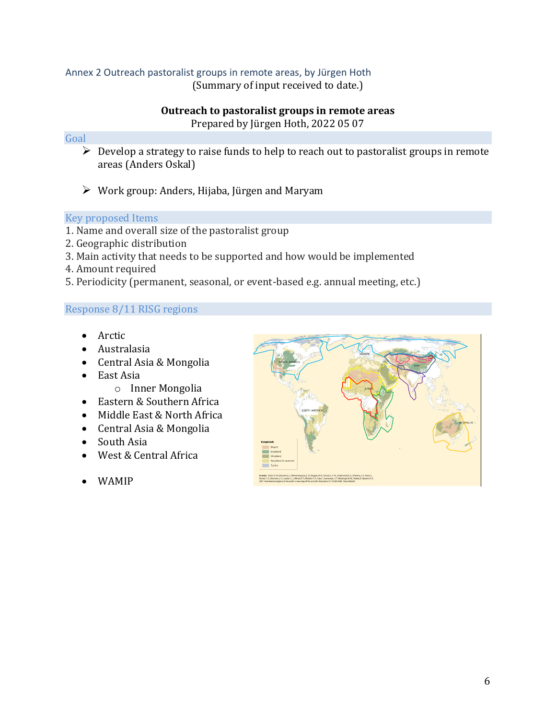# <span id="page-5-0"></span>Annex 2 Outreach pastoralist groups in remote areas, by Jürgen Hoth

(Summary of input received to date.)

## **Outreach to pastoralist groups in remote areas** Prepared by Jürgen Hoth, 2022 05 07

### Goal

- $\triangleright$  Develop a strategy to raise funds to help to reach out to pastoralist groups in remote areas (Anders Oskal)
- $\triangleright$  Work group: Anders, Hijaba, Jürgen and Maryam

### Key proposed Items

- 1. Name and overall size of the pastoralist group
- 2. Geographic distribution
- 3. Main activity that needs to be supported and how would be implemented
- 4. Amount required
- 5. Periodicity (permanent, seasonal, or event-based e.g. annual meeting, etc.)

## Response 8/11 RISG regions

- Arctic
- Australasia
- Central Asia & Mongolia
- East Asia
	- o Inner Mongolia
- Eastern & Southern Africa
- Middle East & North Africa
- Central Asia & Mongolia
- South Asia
- West & Central Africa
- WAMIP

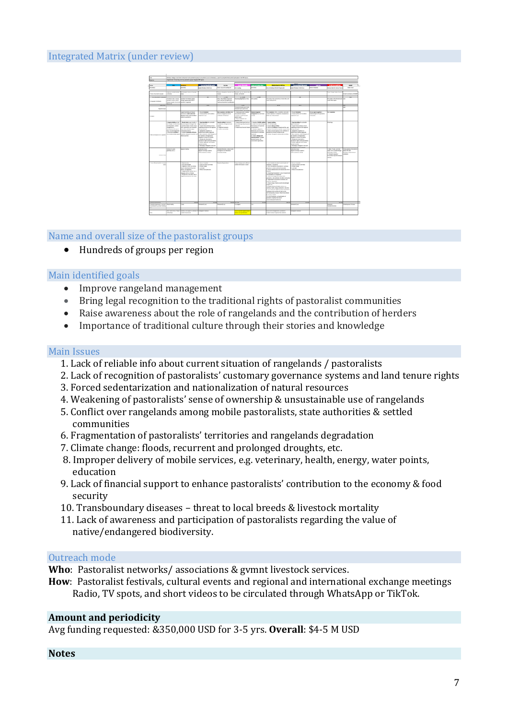## Integrated Matrix (under review)



Name and overall size of the pastoralist groups

• Hundreds of groups per region

#### Main identified goals

- Improve rangeland management
- Bring legal recognition to the traditional rights of pastoralist communities
- Raise awareness about the role of rangelands and the contribution of herders
- Importance of traditional culture through their stories and knowledge

#### Main Issues

- 1. Lack of reliable info about current situation of rangelands / pastoralists
- 2. Lack of recognition of pastoralists' customary governance systems and land tenure rights
- 3. Forced sedentarization and nationalization of natural resources
- 4. Weakening of pastoralists' sense of ownership & unsustainable use of rangelands
- 5. Conflict over rangelands among mobile pastoralists, state authorities & settled communities
- 6. Fragmentation of pastoralists' territories and rangelands degradation
- 7. Climate change: floods, recurrent and prolonged droughts, etc.
- 8. Improper delivery of mobile services, e.g. veterinary, health, energy, water points, education
- 9. Lack of financial support to enhance pastoralists' contribution to the economy & food security
- 10. Transboundary diseases threat to local breeds & livestock mortality
- 11. Lack of awareness and participation of pastoralists regarding the value of native/endangered biodiversity.

#### Outreach mode

**Who**: Pastoralist networks/ associations & gvmnt livestock services.

**How**: Pastoralist festivals, cultural events and regional and international exchange meetings Radio, TV spots, and short videos to be circulated through WhatsApp or TikTok.

#### **Amount and periodicity**

Avg funding requested: &350,000 USD for 3-5 yrs. **Overall**: \$4-5 M USD

#### **Notes**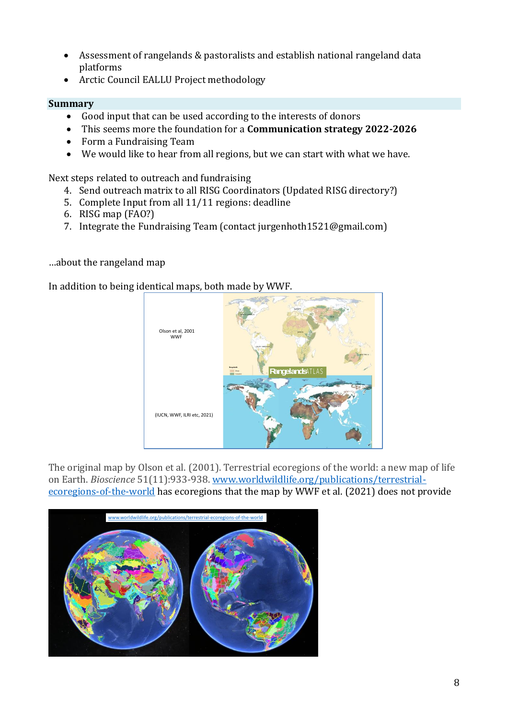- Assessment of rangelands & pastoralists and establish national rangeland data platforms
- Arctic Council EALLU Project methodology

### **Summary**

- Good input that can be used according to the interests of donors
- This seems more the foundation for a **Communication strategy 2022-2026**
- Form a Fundraising Team
- We would like to hear from all regions, but we can start with what we have.

Next steps related to outreach and fundraising

- 4. Send outreach matrix to all RISG Coordinators (Updated RISG directory?)
- 5. Complete Input from all 11/11 regions: deadline
- 6. RISG map (FAO?)
- 7. Integrate the Fundraising Team (contact jurgenhoth1521@gmail.com)

### …about the rangeland map

In addition to being identical maps, both made by WWF.



The original map by Olson et al. (2001). Terrestrial ecoregions of the world: a new map of life on Earth. *Bioscience* 51(11):933-938[. www.worldwildlife.org/publications/terrestrial](http://www.worldwildlife.org/publications/terrestrial-ecoregions-of-the-world)[ecoregions-of-the-world](http://www.worldwildlife.org/publications/terrestrial-ecoregions-of-the-world) has ecoregions that the map by WWF et al. (2021) does not provide Institutions,

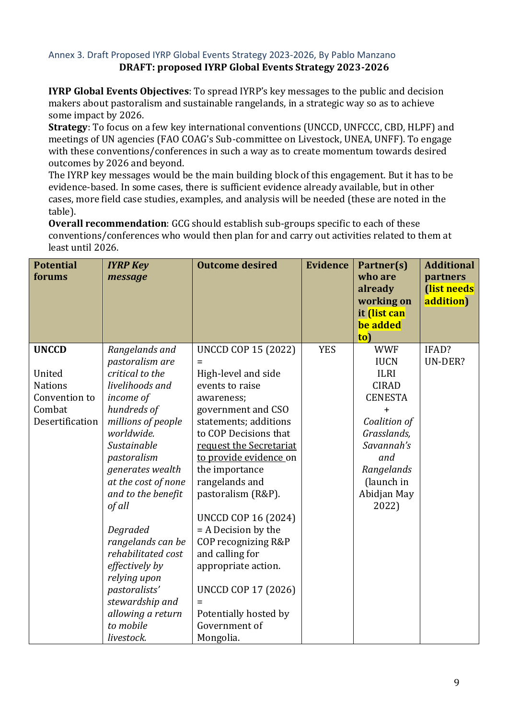## <span id="page-8-0"></span>Annex 3. Draft Proposed IYRP Global Events Strategy 2023-2026, By Pablo Manzano **DRAFT: proposed IYRP Global Events Strategy 2023-2026**

**IYRP Global Events Objectives**: To spread IYRP's key messages to the public and decision makers about pastoralism and sustainable rangelands, in a strategic way so as to achieve some impact by 2026.

**Strategy**: To focus on a few key international conventions (UNCCD, UNFCCC, CBD, HLPF) and meetings of UN agencies (FAO COAG's Sub-committee on Livestock, UNEA, UNFF). To engage with these conventions/conferences in such a way as to create momentum towards desired outcomes by 2026 and beyond.

The IYRP key messages would be the main building block of this engagement. But it has to be evidence-based. In some cases, there is sufficient evidence already available, but in other cases, more field case studies, examples, and analysis will be needed (these are noted in the table).

**Overall recommendation**: GCG should establish sub-groups specific to each of these conventions/conferences who would then plan for and carry out activities related to them at least until 2026.

| <b>Potential</b><br>forums                                                             | <b>IYRP Key</b><br>message                                                                                                                                                                                                                                                                                                                                                                                                    | <b>Outcome desired</b>                                                                                                                                                                                                                                                                                                                                                                                                                                                                    | <b>Evidence</b> | Partner(s)<br>who are<br>already<br>working on<br>it <i>(list can</i><br>be added<br>to)                                                                                                      | <b>Additional</b><br>partners<br>(list needs<br>addition) |
|----------------------------------------------------------------------------------------|-------------------------------------------------------------------------------------------------------------------------------------------------------------------------------------------------------------------------------------------------------------------------------------------------------------------------------------------------------------------------------------------------------------------------------|-------------------------------------------------------------------------------------------------------------------------------------------------------------------------------------------------------------------------------------------------------------------------------------------------------------------------------------------------------------------------------------------------------------------------------------------------------------------------------------------|-----------------|-----------------------------------------------------------------------------------------------------------------------------------------------------------------------------------------------|-----------------------------------------------------------|
| <b>UNCCD</b><br>United<br><b>Nations</b><br>Convention to<br>Combat<br>Desertification | Rangelands and<br>pastoralism are<br>critical to the<br>livelihoods and<br>income of<br>hundreds of<br>millions of people<br>worldwide.<br>Sustainable<br>pastoralism<br>generates wealth<br>at the cost of none<br>and to the benefit<br>of all<br>Degraded<br>rangelands can be<br>rehabilitated cost<br>effectively by<br>relying upon<br>pastoralists'<br>stewardship and<br>allowing a return<br>to mobile<br>livestock. | <b>UNCCD COP 15 (2022)</b><br>Ξ<br>High-level and side<br>events to raise<br>awareness;<br>government and CSO<br>statements; additions<br>to COP Decisions that<br>request the Secretariat<br>to provide evidence on<br>the importance<br>rangelands and<br>pastoralism (R&P).<br><b>UNCCD COP 16 (2024)</b><br>= A Decision by the<br>COP recognizing R&P<br>and calling for<br>appropriate action.<br><b>UNCCD COP 17 (2026)</b><br>Potentially hosted by<br>Government of<br>Mongolia. | <b>YES</b>      | <b>WWF</b><br><b>IUCN</b><br><b>ILRI</b><br><b>CIRAD</b><br><b>CENESTA</b><br>$\ddag$<br>Coalition of<br>Grasslands,<br>Savannah's<br>and<br>Rangelands<br>(launch in<br>Abidjan May<br>2022) | IFAD?<br>UN-DER?                                          |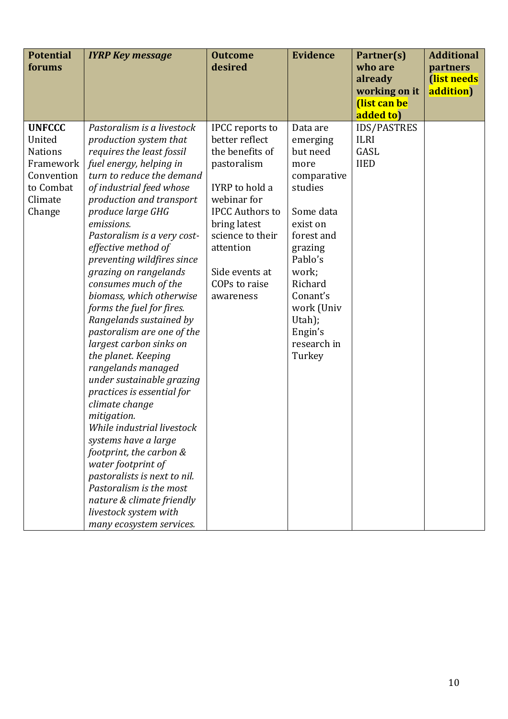| <b>Potential</b> | <b>IYRP Key message</b>      | <b>Outcome</b>         | <b>Evidence</b> | Partner(s)         | <b>Additional</b> |
|------------------|------------------------------|------------------------|-----------------|--------------------|-------------------|
| forums           |                              | desired                |                 | who are            | partners          |
|                  |                              |                        |                 | already            | (list needs       |
|                  |                              |                        |                 | working on it      | addition)         |
|                  |                              |                        |                 | (list can be       |                   |
|                  |                              |                        |                 | added to)          |                   |
| <b>UNFCCC</b>    | Pastoralism is a livestock   | <b>IPCC</b> reports to | Data are        | <b>IDS/PASTRES</b> |                   |
| United           | production system that       | better reflect         | emerging        | <b>ILRI</b>        |                   |
| <b>Nations</b>   | requires the least fossil    | the benefits of        | but need        | GASL               |                   |
| Framework        | fuel energy, helping in      | pastoralism            | more            | <b>IIED</b>        |                   |
| Convention       | turn to reduce the demand    |                        | comparative     |                    |                   |
| to Combat        | of industrial feed whose     | IYRP to hold a         | studies         |                    |                   |
| Climate          | production and transport     | webinar for            |                 |                    |                   |
| Change           | produce large GHG            | <b>IPCC Authors to</b> | Some data       |                    |                   |
|                  | emissions.                   | bring latest           | exist on        |                    |                   |
|                  | Pastoralism is a very cost-  | science to their       | forest and      |                    |                   |
|                  | effective method of          | attention              | grazing         |                    |                   |
|                  | preventing wildfires since   |                        | Pablo's         |                    |                   |
|                  | grazing on rangelands        | Side events at         | work;           |                    |                   |
|                  | consumes much of the         | COPs to raise          | Richard         |                    |                   |
|                  | biomass, which otherwise     | awareness              | Conant's        |                    |                   |
|                  | forms the fuel for fires.    |                        | work (Univ      |                    |                   |
|                  | Rangelands sustained by      |                        | Utah);          |                    |                   |
|                  | pastoralism are one of the   |                        | Engin's         |                    |                   |
|                  | largest carbon sinks on      |                        | research in     |                    |                   |
|                  | the planet. Keeping          |                        | Turkey          |                    |                   |
|                  | rangelands managed           |                        |                 |                    |                   |
|                  | under sustainable grazing    |                        |                 |                    |                   |
|                  | practices is essential for   |                        |                 |                    |                   |
|                  | climate change               |                        |                 |                    |                   |
|                  | mitigation.                  |                        |                 |                    |                   |
|                  | While industrial livestock   |                        |                 |                    |                   |
|                  | systems have a large         |                        |                 |                    |                   |
|                  | footprint, the carbon &      |                        |                 |                    |                   |
|                  | water footprint of           |                        |                 |                    |                   |
|                  | pastoralists is next to nil. |                        |                 |                    |                   |
|                  | Pastoralism is the most      |                        |                 |                    |                   |
|                  | nature & climate friendly    |                        |                 |                    |                   |
|                  | livestock system with        |                        |                 |                    |                   |
|                  | many ecosystem services.     |                        |                 |                    |                   |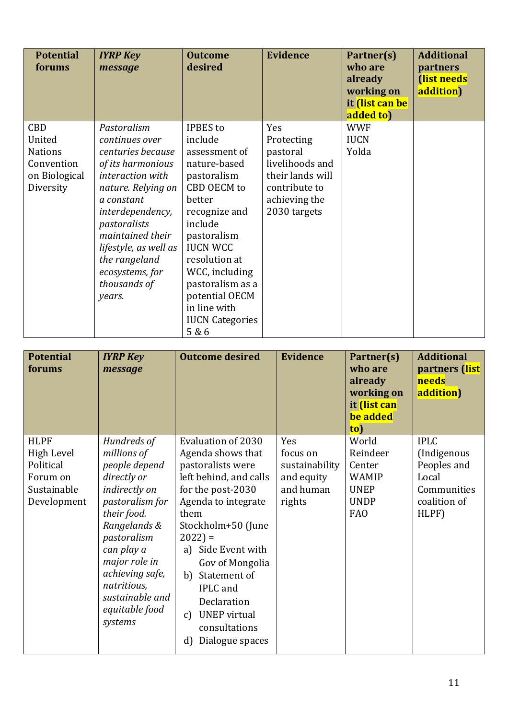| <b>Potential</b><br>forums | <b>IYRP Key</b><br>message | <b>Outcome</b><br>desired | <b>Evidence</b>  | Partner(s)<br>who are<br>already<br>working on<br>it <i>(list can be</i><br>added to) | <b>Additional</b><br>partners<br>(list needs<br>addition) |
|----------------------------|----------------------------|---------------------------|------------------|---------------------------------------------------------------------------------------|-----------------------------------------------------------|
| <b>CBD</b>                 | Pastoralism                | <b>IPBES</b> to           | Yes              | <b>WWF</b>                                                                            |                                                           |
| United                     | continues over             | include                   | Protecting       | <b>IUCN</b>                                                                           |                                                           |
| <b>Nations</b>             | centuries because          | assessment of             | pastoral         | Yolda                                                                                 |                                                           |
| Convention                 | of its harmonious          | nature-based              | livelihoods and  |                                                                                       |                                                           |
| on Biological              | interaction with           | pastoralism               | their lands will |                                                                                       |                                                           |
| Diversity                  | nature. Relying on         | CBD OECM to               | contribute to    |                                                                                       |                                                           |
|                            | a constant                 | better                    | achieving the    |                                                                                       |                                                           |
|                            | interdependency,           | recognize and             | 2030 targets     |                                                                                       |                                                           |
|                            | pastoralists               | include                   |                  |                                                                                       |                                                           |
|                            | maintained their           | pastoralism               |                  |                                                                                       |                                                           |
|                            | lifestyle, as well as      | <b>IUCN WCC</b>           |                  |                                                                                       |                                                           |
|                            | the rangeland              | resolution at             |                  |                                                                                       |                                                           |
|                            | ecosystems, for            | WCC, including            |                  |                                                                                       |                                                           |
|                            | thousands of               | pastoralism as a          |                  |                                                                                       |                                                           |
|                            | years.                     | potential OECM            |                  |                                                                                       |                                                           |
|                            |                            | in line with              |                  |                                                                                       |                                                           |
|                            |                            | <b>IUCN Categories</b>    |                  |                                                                                       |                                                           |
|                            |                            | 5 & 6                     |                  |                                                                                       |                                                           |

| <b>Potential</b><br>forums                                                              | <b>IYRP Key</b><br>message                                                                                                                                                                                                                                    | <b>Outcome desired</b>                                                                                                                                                                                                                                                                                                                                                | <b>Evidence</b>                                                        | Partner(s)<br>who are<br>already<br>working on<br>it (list can<br>be added<br>$\overline{\text{to}}$ | <b>Additional</b><br>partners (list<br>needs<br>addition)                                  |
|-----------------------------------------------------------------------------------------|---------------------------------------------------------------------------------------------------------------------------------------------------------------------------------------------------------------------------------------------------------------|-----------------------------------------------------------------------------------------------------------------------------------------------------------------------------------------------------------------------------------------------------------------------------------------------------------------------------------------------------------------------|------------------------------------------------------------------------|------------------------------------------------------------------------------------------------------|--------------------------------------------------------------------------------------------|
| <b>HLPF</b><br><b>High Level</b><br>Political<br>Forum on<br>Sustainable<br>Development | Hundreds of<br>millions of<br>people depend<br>directly or<br>indirectly on<br>pastoralism for<br>their food.<br>Rangelands &<br>pastoralism<br>can play a<br>major role in<br>achieving safe,<br>nutritious,<br>sustainable and<br>equitable food<br>systems | <b>Evaluation of 2030</b><br>Agenda shows that<br>pastoralists were<br>left behind, and calls<br>for the post-2030<br>Agenda to integrate<br>them<br>Stockholm+50 (June<br>$2022$ ) =<br>a) Side Event with<br>Gov of Mongolia<br>b) Statement of<br><b>IPLC</b> and<br>Declaration<br><b>UNEP</b> virtual<br>$\mathcal{C}$<br>consultations<br>Dialogue spaces<br>d) | Yes<br>focus on<br>sustainability<br>and equity<br>and human<br>rights | World<br>Reindeer<br>Center<br><b>WAMIP</b><br><b>UNEP</b><br><b>UNDP</b><br><b>FAO</b>              | <b>IPLC</b><br>(Indigenous<br>Peoples and<br>Local<br>Communities<br>coalition of<br>HLPF) |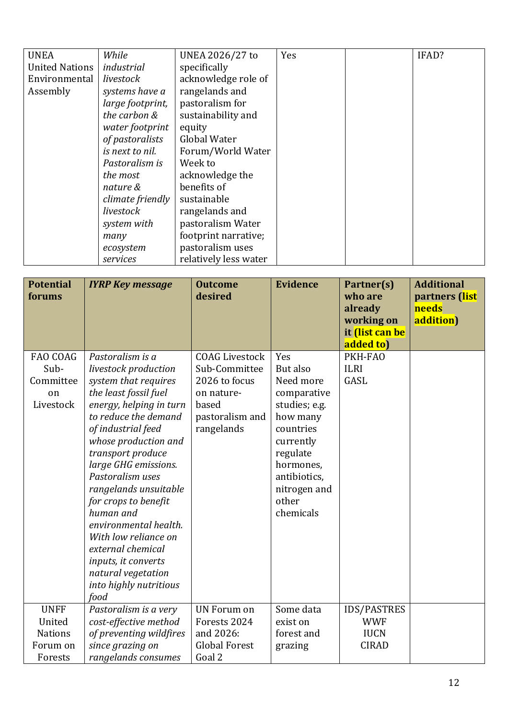| <b>UNEA</b>           | While            | UNEA 2026/27 to       | Yes | IFAD? |
|-----------------------|------------------|-----------------------|-----|-------|
| <b>United Nations</b> | industrial       | specifically          |     |       |
| Environmental         | livestock        | acknowledge role of   |     |       |
| Assembly              | systems have a   | rangelands and        |     |       |
|                       | large footprint, | pastoralism for       |     |       |
|                       | the carbon &     | sustainability and    |     |       |
|                       | water footprint  | equity                |     |       |
|                       | of pastoralists  | Global Water          |     |       |
|                       | is next to nil.  | Forum/World Water     |     |       |
|                       | Pastoralism is   | Week to               |     |       |
|                       | the most         | acknowledge the       |     |       |
|                       | nature &         | benefits of           |     |       |
|                       | climate friendly | sustainable           |     |       |
|                       | livestock        | rangelands and        |     |       |
|                       | system with      | pastoralism Water     |     |       |
|                       | many             | footprint narrative;  |     |       |
|                       | ecosystem        | pastoralism uses      |     |       |
|                       | services         | relatively less water |     |       |

| <b>Potential</b><br>forums                                     | <b>IYRP Key message</b>                                                                                                                                                                                                                                                                                                                                                                                                                                                        | <b>Outcome</b><br>desired                                                                                       | <b>Evidence</b>                                                                                                                                                                   | Partner(s)<br>who are<br>already<br>working on<br>it <i>(list can be</i><br>added to) | <b>Additional</b><br>partners (list<br>needs<br>addition) |
|----------------------------------------------------------------|--------------------------------------------------------------------------------------------------------------------------------------------------------------------------------------------------------------------------------------------------------------------------------------------------------------------------------------------------------------------------------------------------------------------------------------------------------------------------------|-----------------------------------------------------------------------------------------------------------------|-----------------------------------------------------------------------------------------------------------------------------------------------------------------------------------|---------------------------------------------------------------------------------------|-----------------------------------------------------------|
| FAO COAG<br>Sub-<br>Committee<br>on<br>Livestock               | Pastoralism is a<br>livestock production<br>system that requires<br>the least fossil fuel<br>energy, helping in turn<br>to reduce the demand<br>of industrial feed<br>whose production and<br>transport produce<br>large GHG emissions.<br>Pastoralism uses<br>rangelands unsuitable<br>for crops to benefit<br>human and<br>environmental health.<br>With low reliance on<br>external chemical<br>inputs, it converts<br>natural vegetation<br>into highly nutritious<br>food | <b>COAG Livestock</b><br>Sub-Committee<br>2026 to focus<br>on nature-<br>based<br>pastoralism and<br>rangelands | Yes<br>But also<br>Need more<br>comparative<br>studies; e.g.<br>how many<br>countries<br>currently<br>regulate<br>hormones,<br>antibiotics,<br>nitrogen and<br>other<br>chemicals | PKH-FAO<br><b>ILRI</b><br>GASL                                                        |                                                           |
| <b>UNFF</b><br>United<br><b>Nations</b><br>Forum on<br>Forests | Pastoralism is a very<br>cost-effective method<br>of preventing wildfires<br>since grazing on<br>rangelands consumes                                                                                                                                                                                                                                                                                                                                                           | <b>UN Forum on</b><br>Forests 2024<br>and 2026:<br><b>Global Forest</b><br>Goal 2                               | Some data<br>exist on<br>forest and<br>grazing                                                                                                                                    | <b>IDS/PASTRES</b><br><b>WWF</b><br><b>IUCN</b><br><b>CIRAD</b>                       |                                                           |